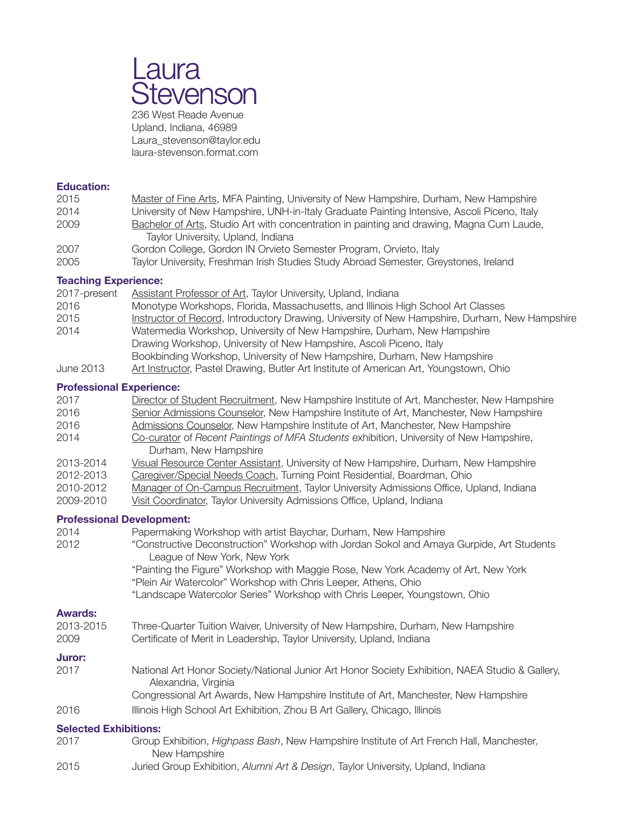## Laura tevenson

236 West Reade Avenue Upland, Indiana, 46989 Laura\_stevenson@taylor.edu laura-stevenson.format.com

#### **Education:**

| 2015 | Master of Fine Arts, MFA Painting, University of New Hampshire, Durham, New Hampshire       |
|------|---------------------------------------------------------------------------------------------|
| 2014 | University of New Hampshire, UNH-in-Italy Graduate Painting Intensive, Ascoli Piceno, Italy |
| 2009 | Bachelor of Arts, Studio Art with concentration in painting and drawing, Magna Cum Laude,   |
|      | Taylor University, Upland, Indiana                                                          |
| 2007 | Gordon College, Gordon IN Orvieto Semester Program, Orvieto, Italy                          |
| 2005 | Taylor University, Freshman Irish Studies Study Abroad Semester, Greystones, Ireland        |

#### **Teaching Experience:**

| 2017-present | Assistant Professor of Art, Taylor University, Upland, Indiana                                 |
|--------------|------------------------------------------------------------------------------------------------|
| 2016         | Monotype Workshops, Florida, Massachusetts, and Illinois High School Art Classes               |
| 2015         | Instructor of Record, Introductory Drawing, University of New Hampshire, Durham, New Hampshire |
| 2014         | Watermedia Workshop, University of New Hampshire, Durham, New Hampshire                        |
|              | Drawing Workshop, University of New Hampshire, Ascoli Piceno, Italy                            |
|              | Bookbinding Workshop, University of New Hampshire, Durham, New Hampshire                       |
| June 2013    | Art Instructor, Pastel Drawing, Butler Art Institute of American Art, Youngstown, Ohio         |
|              |                                                                                                |

#### **Professional Experience:**

| 2017      | Director of Student Recruitment, New Hampshire Institute of Art, Manchester, New Hampshire |
|-----------|--------------------------------------------------------------------------------------------|
| 2016      | Senior Admissions Counselor, New Hampshire Institute of Art, Manchester, New Hampshire     |
| 2016      | Admissions Counselor, New Hampshire Institute of Art, Manchester, New Hampshire            |
| 2014      | Co-curator of Recent Paintings of MFA Students exhibition, University of New Hampshire,    |
|           | Durham, New Hampshire                                                                      |
| 2013-2014 | Visual Resource Center Assistant, University of New Hampshire, Durham, New Hampshire       |
| 2012-2013 | Caregiver/Special Needs Coach, Turning Point Residential, Boardman, Ohio                   |
| 2010-2012 | Manager of On-Campus Recruitment, Taylor University Admissions Office, Upland, Indiana     |

2009-2010 Visit Coordinator, Taylor University Admissions Office, Upland, Indiana

#### **Professional Development:**

| 2014                         | Papermaking Workshop with artist Baychar, Durham, New Hampshire                                                          |
|------------------------------|--------------------------------------------------------------------------------------------------------------------------|
| 2012                         | "Constructive Deconstruction" Workshop with Jordan Sokol and Amaya Gurpide, Art Students<br>League of New York, New York |
|                              | "Painting the Figure" Workshop with Maggie Rose, New York Academy of Art, New York                                       |
|                              | "Plein Air Watercolor" Workshop with Chris Leeper, Athens, Ohio                                                          |
|                              | "Landscape Watercolor Series" Workshop with Chris Leeper, Youngstown, Ohio                                               |
| <b>Awards:</b>               |                                                                                                                          |
| 2013-2015                    | Three-Quarter Tuition Waiver, University of New Hampshire, Durham, New Hampshire                                         |
| 2009                         | Certificate of Merit in Leadership, Taylor University, Upland, Indiana                                                   |
| Juror:                       |                                                                                                                          |
| 2017                         | National Art Honor Society/National Junior Art Honor Society Exhibition, NAEA Studio & Gallery,<br>Alexandria, Virginia  |
|                              | Congressional Art Awards, New Hampshire Institute of Art, Manchester, New Hampshire                                      |
| 2016                         | Illinois High School Art Exhibition, Zhou B Art Gallery, Chicago, Illinois                                               |
| <b>Selected Exhibitions:</b> |                                                                                                                          |
| 2017 D                       | Croup Exhibition Highnese Read Now Hempeline Institute of Art Example Hell Memphester                                    |

- 2017 Group Exhibition, *Highpass Bash*, New Hampshire Institute of Art French Hall, Manchester, New Hampshire
- 2015 Juried Group Exhibition, *Alumni Art & Design*, Taylor University, Upland, Indiana